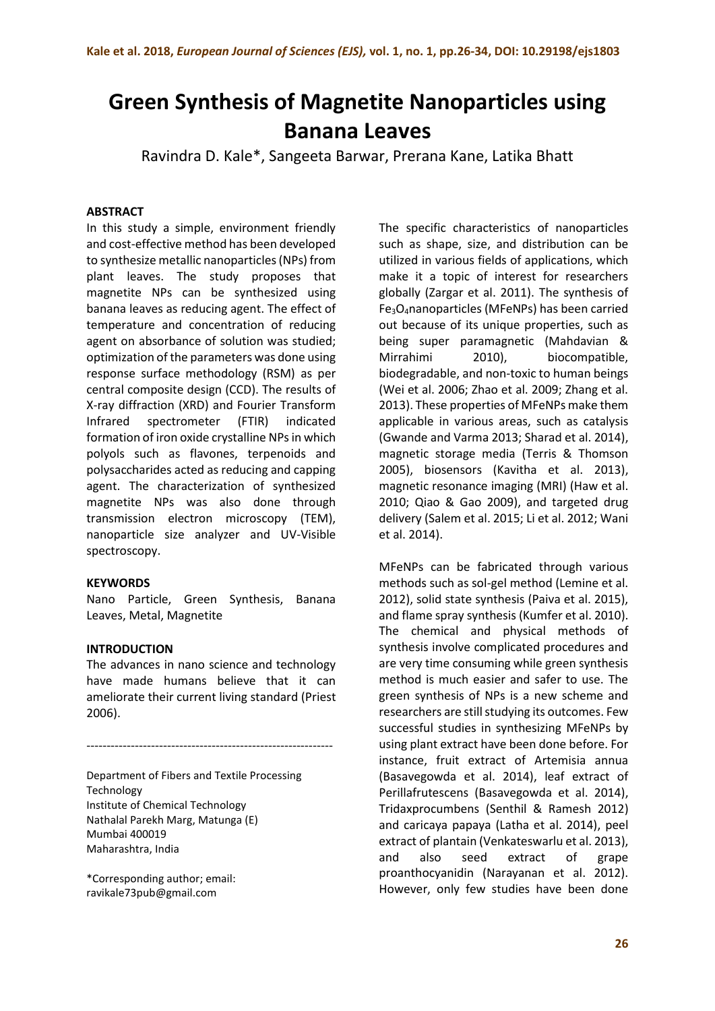# **Green Synthesis of Magnetite Nanoparticles using Banana Leaves**

Ravindra D. Kale\*, Sangeeta Barwar, Prerana Kane, Latika Bhatt

#### **ABSTRACT**

In this study a simple, environment friendly and cost-effective method has been developed to synthesize metallic nanoparticles (NPs) from plant leaves. The study proposes that magnetite NPs can be synthesized using banana leaves as reducing agent. The effect of temperature and concentration of reducing agent on absorbance of solution was studied; optimization of the parameters was done using response surface methodology (RSM) as per central composite design (CCD). The results of X-ray diffraction (XRD) and Fourier Transform Infrared spectrometer (FTIR) indicated formation of iron oxide crystalline NPs in which polyols such as flavones, terpenoids and polysaccharides acted as reducing and capping agent. The characterization of synthesized magnetite NPs was also done through transmission electron microscopy (TEM), nanoparticle size analyzer and UV-Visible spectroscopy.

#### **KEYWORDS**

Nano Particle, Green Synthesis, Banana Leaves, Metal, Magnetite

#### **INTRODUCTION**

The advances in nano science and technology have made humans believe that it can ameliorate their current living standard (Priest 2006).

-------------------------------------------------------------

Department of Fibers and Textile Processing Technology Institute of Chemical Technology Nathalal Parekh Marg, Matunga (E) Mumbai 400019 Maharashtra, India

\*Corresponding author; email: ravikale73pub@gmail.com

The specific characteristics of nanoparticles such as shape, size, and distribution can be utilized in various fields of applications, which make it a topic of interest for researchers globally (Zargar et al. 2011). The synthesis of Fe3O4nanoparticles (MFeNPs) has been carried out because of its unique properties, such as being super paramagnetic (Mahdavian & Mirrahimi 2010), biocompatible, biodegradable, and non-toxic to human beings (Wei et al. 2006; Zhao et al. 2009; Zhang et al. 2013). These properties of MFeNPs make them applicable in various areas, such as catalysis (Gwande and Varma 2013; Sharad et al. 2014), magnetic storage media (Terris & Thomson 2005), biosensors (Kavitha et al. 2013), magnetic resonance imaging (MRI) (Haw et al. 2010; Qiao & Gao 2009), and targeted drug delivery (Salem et al. 2015; Li et al. 2012; Wani et al. 2014).

MFeNPs can be fabricated through various methods such as sol-gel method (Lemine et al. 2012), solid state synthesis (Paiva et al. 2015), and flame spray synthesis (Kumfer et al. 2010). The chemical and physical methods of synthesis involve complicated procedures and are very time consuming while green synthesis method is much easier and safer to use. The green synthesis of NPs is a new scheme and researchers are still studying its outcomes. Few successful studies in synthesizing MFeNPs by using plant extract have been done before. For instance, fruit extract of Artemisia annua (Basavegowda et al. 2014), leaf extract of Perillafrutescens (Basavegowda et al. 2014), Tridaxprocumbens (Senthil & Ramesh 2012) and caricaya papaya (Latha et al. 2014), peel extract of plantain (Venkateswarlu et al. 2013), and also seed extract of grape proanthocyanidin (Narayanan et al. 2012). However, only few studies have been done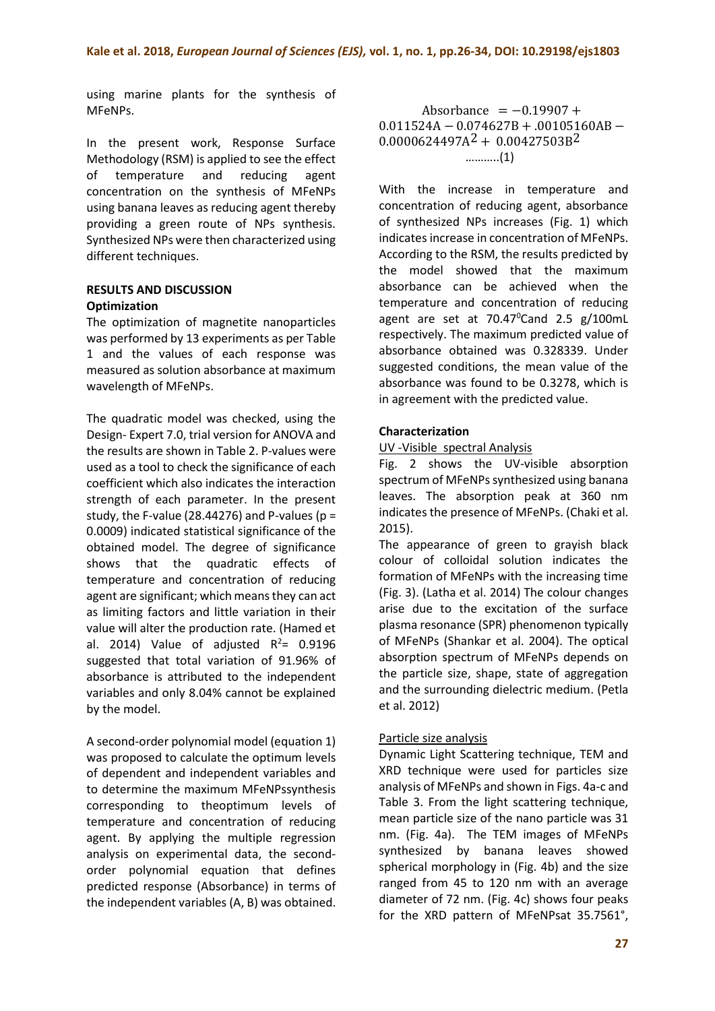using marine plants for the synthesis of MFeNPs.

In the present work, Response Surface Methodology (RSM) is applied to see the effect of temperature and reducing agent concentration on the synthesis of MFeNPs using banana leaves as reducing agent thereby providing a green route of NPs synthesis. Synthesized NPs were then characterized using different techniques.

#### **RESULTS AND DISCUSSION Optimization**

The optimization of magnetite nanoparticles was performed by 13 experiments as per Table 1 and the values of each response was measured as solution absorbance at maximum wavelength of MFeNPs.

The quadratic model was checked, using the Design- Expert 7.0, trial version for ANOVA and the results are shown in Table 2. P-values were used as a tool to check the significance of each coefficient which also indicates the interaction strength of each parameter. In the present study, the F-value (28.44276) and P-values ( $p =$ 0.0009) indicated statistical significance of the obtained model. The degree of significance shows that the quadratic effects of temperature and concentration of reducing agent are significant; which means they can act as limiting factors and little variation in their value will alter the production rate. (Hamed et al. 2014) Value of adjusted  $R^2$ = 0.9196 suggested that total variation of 91.96% of absorbance is attributed to the independent variables and only 8.04% cannot be explained by the model.

A second-order polynomial model (equation 1) was proposed to calculate the optimum levels of dependent and independent variables and to determine the maximum MFeNPssynthesis corresponding to theoptimum levels of temperature and concentration of reducing agent. By applying the multiple regression analysis on experimental data, the secondorder polynomial equation that defines predicted response (Absorbance) in terms of the independent variables (A, B) was obtained.

Absorbance  $= -0.19907 +$ 0.011524A − 0.074627B + .00105160AB −  $0.0000624497A^2 + 0.00427503B^2$ ………..(1)

With the increase in temperature and concentration of reducing agent, absorbance of synthesized NPs increases (Fig. 1) which indicates increase in concentration of MFeNPs. According to the RSM, the results predicted by the model showed that the maximum absorbance can be achieved when the temperature and concentration of reducing agent are set at  $70.47^{\circ}$ Cand 2.5 g/100mL respectively. The maximum predicted value of absorbance obtained was 0.328339. Under suggested conditions, the mean value of the absorbance was found to be 0.3278, which is in agreement with the predicted value.

# **Characterization**

## UV -Visible spectral Analysis

Fig. 2 shows the UV-visible absorption spectrum of MFeNPs synthesized using banana leaves. The absorption peak at 360 nm indicates the presence of MFeNPs. (Chaki et al. 2015).

The appearance of green to grayish black colour of colloidal solution indicates the formation of MFeNPs with the increasing time (Fig. 3). (Latha et al. 2014) The colour changes arise due to the excitation of the surface plasma resonance (SPR) phenomenon typically of MFeNPs (Shankar et al. 2004). The optical absorption spectrum of MFeNPs depends on the particle size, shape, state of aggregation and the surrounding dielectric medium. (Petla et al. 2012)

## Particle size analysis

Dynamic Light Scattering technique, TEM and XRD technique were used for particles size analysis of MFeNPs and shown in Figs. 4a-c and Table 3. From the light scattering technique, mean particle size of the nano particle was 31 nm. (Fig. 4a). The TEM images of MFeNPs synthesized by banana leaves showed spherical morphology in (Fig. 4b) and the size ranged from 45 to 120 nm with an average diameter of 72 nm. (Fig. 4c) shows four peaks for the XRD pattern of MFeNPsat 35.7561°,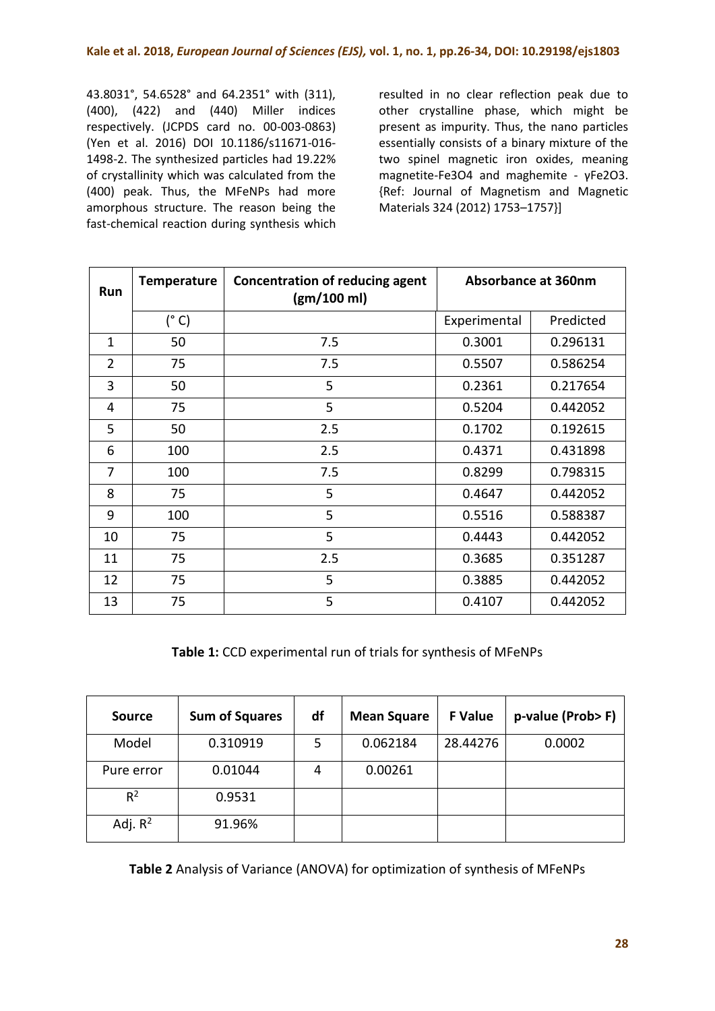43.8031°, 54.6528° and 64.2351° with (311), (400), (422) and (440) Miller indices respectively. (JCPDS card no. 00-003-0863) (Yen et al. 2016) DOI 10.1186/s11671-016- 1498-2. The synthesized particles had 19.22% of crystallinity which was calculated from the (400) peak. Thus, the MFeNPs had more amorphous structure. The reason being the fast-chemical reaction during synthesis which resulted in no clear reflection peak due to other crystalline phase, which might be present as impurity. Thus, the nano particles essentially consists of a binary mixture of the two spinel magnetic iron oxides, meaning magnetite-Fe3O4 and maghemite - γFe2O3. {Ref: Journal of Magnetism and Magnetic Materials 324 (2012) 1753–1757}]

| Run            | <b>Temperature</b> | <b>Concentration of reducing agent</b><br>(gm/100 ml) | <b>Absorbance at 360nm</b> |           |
|----------------|--------------------|-------------------------------------------------------|----------------------------|-----------|
|                | $(^{\circ}C)$      |                                                       | Experimental               | Predicted |
| $\mathbf{1}$   | 50                 | 7.5                                                   | 0.3001                     | 0.296131  |
| $\overline{2}$ | 75                 | 7.5                                                   | 0.5507                     | 0.586254  |
| 3              | 50                 | 5                                                     | 0.2361                     | 0.217654  |
| 4              | 75                 | 5                                                     | 0.5204                     | 0.442052  |
| 5              | 50                 | 2.5                                                   | 0.1702                     | 0.192615  |
| 6              | 100                | 2.5                                                   | 0.4371                     | 0.431898  |
| 7              | 100                | 7.5                                                   | 0.8299                     | 0.798315  |
| 8              | 75                 | 5                                                     | 0.4647                     | 0.442052  |
| 9              | 100                | 5                                                     | 0.5516                     | 0.588387  |
| 10             | 75                 | 5                                                     | 0.4443                     | 0.442052  |
| 11             | 75                 | 2.5                                                   | 0.3685                     | 0.351287  |
| 12             | 75                 | 5                                                     | 0.3885                     | 0.442052  |
| 13             | 75                 | 5                                                     | 0.4107                     | 0.442052  |

**Table 1:** CCD experimental run of trials for synthesis of MFeNPs

| <b>Source</b> | <b>Sum of Squares</b> | df | <b>Mean Square</b> | <b>F</b> Value | p-value (Prob>F) |
|---------------|-----------------------|----|--------------------|----------------|------------------|
| Model         | 0.310919              | 5  | 0.062184           | 28.44276       | 0.0002           |
| Pure error    | 0.01044               | 4  | 0.00261            |                |                  |
| $R^2$         | 0.9531                |    |                    |                |                  |
| Adj. $R^2$    | 91.96%                |    |                    |                |                  |

**Table 2** Analysis of Variance (ANOVA) for optimization of synthesis of MFeNPs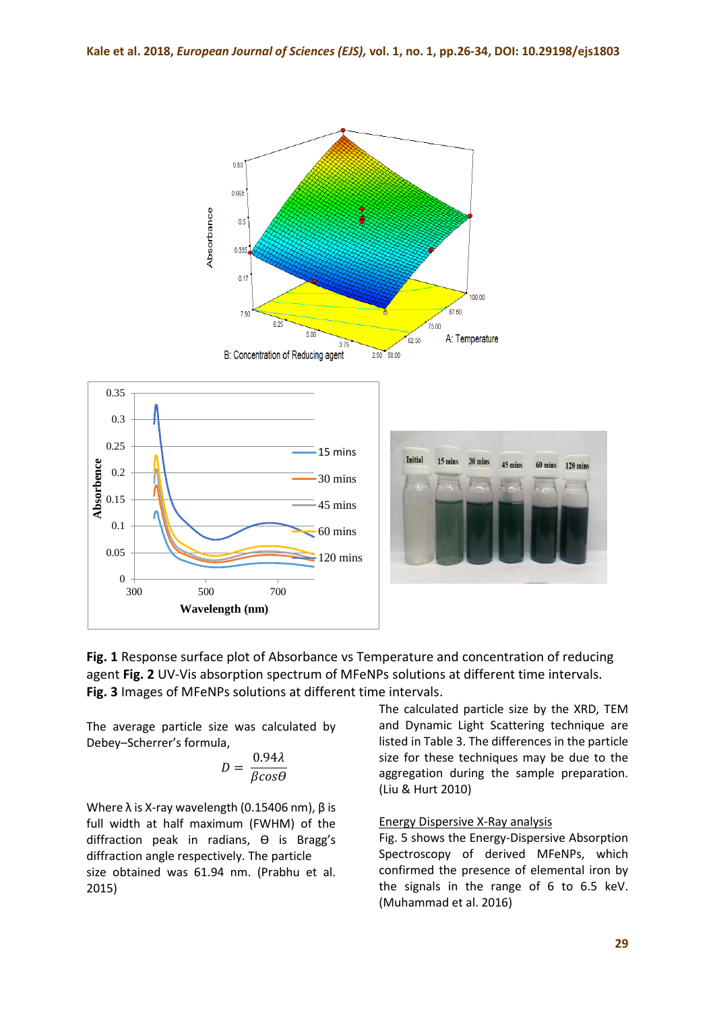



The average particle size was calculated by Debey–Scherrer's formula,

$$
D = \frac{0.94\lambda}{\beta cos\theta}
$$

Where  $\lambda$  is X-ray wavelength (0.15406 nm),  $\beta$  is full width at half maximum (FWHM) of the diffraction peak in radians, θ is Bragg's diffraction angle respectively. The particle size obtained was 61.94 nm. (Prabhu et al. 2015)

The calculated particle size by the XRD, TEM and Dynamic Light Scattering technique are listed in Table 3. The differences in the particle size for these techniques may be due to the aggregation during the sample preparation. (Liu & Hurt 2010)

## Energy Dispersive X-Ray analysis

Fig. 5 shows the Energy-Dispersive Absorption Spectroscopy of derived MFeNPs, which confirmed the presence of elemental iron by the signals in the range of 6 to 6.5 keV. (Muhammad et al. 2016)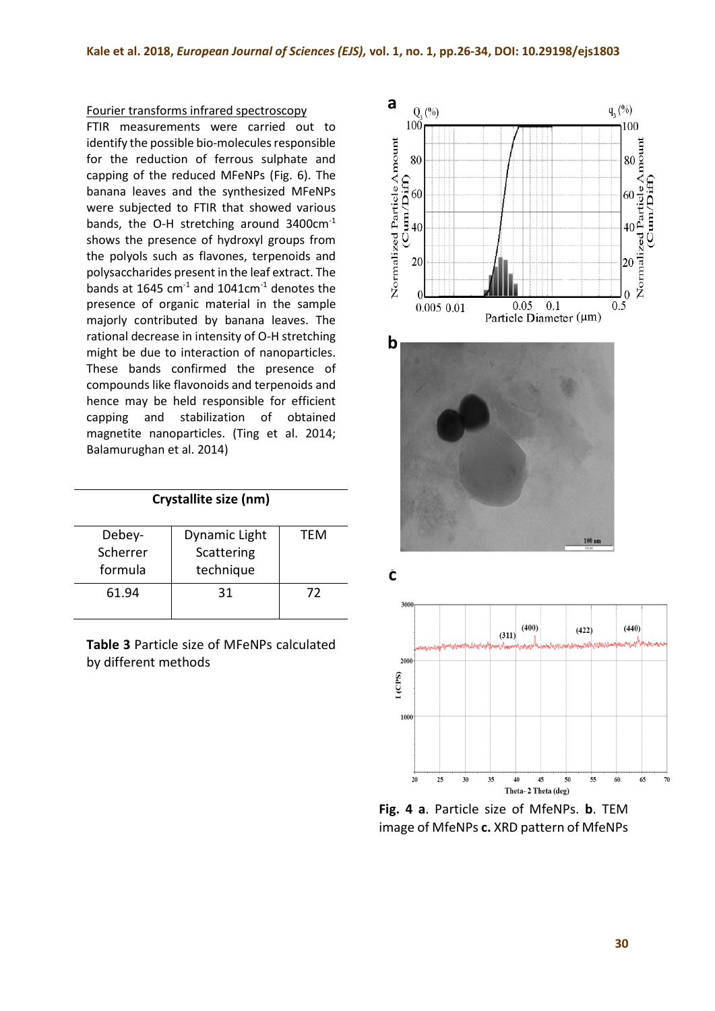#### Fourier transforms infrared spectroscopy

FTIR measurements were carried out to identify the possible bio-molecules responsible for the reduction of ferrous sulphate and capping of the reduced MFeNPs (Fig. 6). The banana leaves and the synthesized MFeNPs were subjected to FTIR that showed various bands, the O-H stretching around 3400cm-1 shows the presence of hydroxyl groups from the polyols such as flavones, terpenoids and polysaccharides present in the leaf extract. The bands at 1645  $cm<sup>-1</sup>$  and 1041 $cm<sup>-1</sup>$  denotes the presence of organic material in the sample majorly contributed by banana leaves. The rational decrease in intensity of O-H stretching might be due to interaction of nanoparticles. These bands confirmed the presence of compounds like flavonoids and terpenoids and hence may be held responsible for efficient capping and stabilization of obtained magnetite nanoparticles. (Ting et al. 2014; Balamurughan et al. 2014)

| Crystallite size (nm) |               |     |  |  |  |  |
|-----------------------|---------------|-----|--|--|--|--|
| Debey-                | Dynamic Light | TFM |  |  |  |  |
| Scherrer              | Scattering    |     |  |  |  |  |
| formula               | technique     |     |  |  |  |  |
| 61.94                 | 31            | 72  |  |  |  |  |
|                       |               |     |  |  |  |  |

**Table 3** Particle size of MFeNPs calculated by different methods







**Fig. 4 a**. Particle size of MfeNPs. **b**. TEM image of MfeNPs **c.** XRD pattern of MfeNPs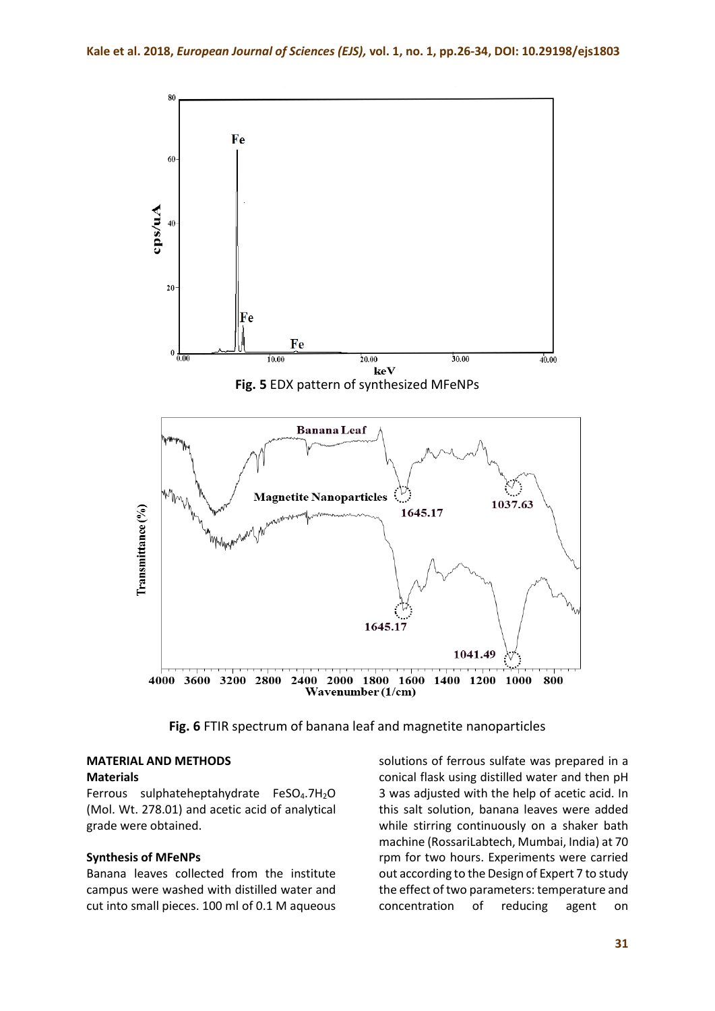

**Fig. 6** FTIR spectrum of banana leaf and magnetite nanoparticles

# **MATERIAL AND METHODS**

#### **Materials**

Ferrous sulphateheptahydrate FeSO<sub>4</sub>.7H<sub>2</sub>O (Mol. Wt. 278.01) and acetic acid of analytical grade were obtained.

#### **Synthesis of MFeNPs**

Banana leaves collected from the institute campus were washed with distilled water and cut into small pieces. 100 ml of 0.1 M aqueous solutions of ferrous sulfate was prepared in a conical flask using distilled water and then pH 3 was adjusted with the help of acetic acid. In this salt solution, banana leaves were added while stirring continuously on a shaker bath machine (RossariLabtech, Mumbai, India) at 70 rpm for two hours. Experiments were carried out according to the Design of Expert 7 to study the effect of two parameters: temperature and concentration of reducing agent on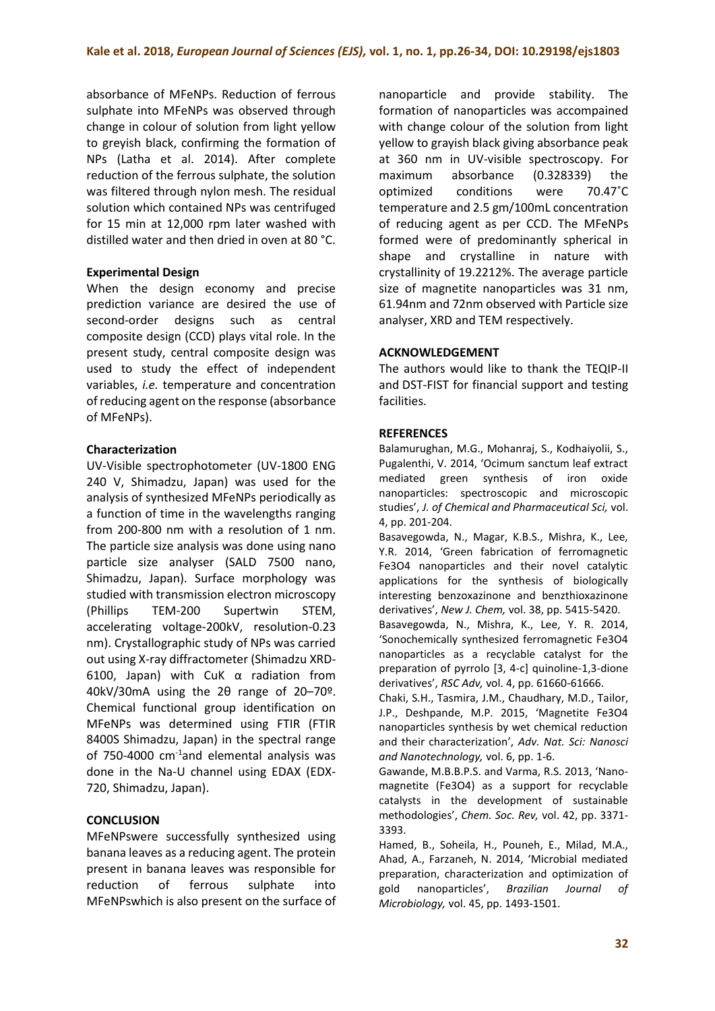absorbance of MFeNPs. Reduction of ferrous sulphate into MFeNPs was observed through change in colour of solution from light yellow to greyish black, confirming the formation of NPs (Latha et al. 2014). After complete reduction of the ferrous sulphate, the solution was filtered through nylon mesh. The residual solution which contained NPs was centrifuged for 15 min at 12,000 rpm later washed with distilled water and then dried in oven at 80 °C.

# **Experimental Design**

When the design economy and precise prediction variance are desired the use of second-order designs such as central composite design (CCD) plays vital role. In the present study, central composite design was used to study the effect of independent variables, *i.e.* temperature and concentration of reducing agent on the response (absorbance of MFeNPs).

# **Characterization**

UV-Visible spectrophotometer (UV-1800 ENG 240 V, Shimadzu, Japan) was used for the analysis of synthesized MFeNPs periodically as a function of time in the wavelengths ranging from 200-800 nm with a resolution of 1 nm. The particle size analysis was done using nano particle size analyser (SALD 7500 nano, Shimadzu, Japan). Surface morphology was studied with transmission electron microscopy (Phillips TEM-200 Supertwin STEM, accelerating voltage-200kV, resolution-0.23 nm). Crystallographic study of NPs was carried out using X-ray diffractometer (Shimadzu XRD-6100, Japan) with CuK α radiation from 40kV/30mA using the 2θ range of 20–70º. Chemical functional group identification on MFeNPs was determined using FTIR (FTIR 8400S Shimadzu, Japan) in the spectral range of 750-4000 cm-1and elemental analysis was done in the Na-U channel using EDAX (EDX-720, Shimadzu, Japan).

# **CONCLUSION**

MFeNPswere successfully synthesized using banana leaves as a reducing agent. The protein present in banana leaves was responsible for reduction of ferrous sulphate into MFeNPswhich is also present on the surface of

nanoparticle and provide stability. The formation of nanoparticles was accompained with change colour of the solution from light yellow to grayish black giving absorbance peak at 360 nm in UV-visible spectroscopy. For maximum absorbance (0.328339) the optimized conditions were 70.47˚C temperature and 2.5 gm/100mL concentration of reducing agent as per CCD. The MFeNPs formed were of predominantly spherical in shape and crystalline in nature with crystallinity of 19.2212%. The average particle size of magnetite nanoparticles was 31 nm, 61.94nm and 72nm observed with Particle size analyser, XRD and TEM respectively.

# **ACKNOWLEDGEMENT**

The authors would like to thank the TEQIP-II and DST-FIST for financial support and testing facilities.

## **REFERENCES**

Balamurughan, M.G., Mohanraj, S., Kodhaiyolii, S., Pugalenthi, V. 2014, 'Ocimum sanctum leaf extract mediated green synthesis of iron oxide nanoparticles: spectroscopic and microscopic studies', *J. of Chemical and Pharmaceutical Sci,* vol. 4, pp. 201-204.

Basavegowda, N., Magar, K.B.S., Mishra, K., Lee, Y.R. 2014, 'Green fabrication of ferromagnetic Fe3O4 nanoparticles and their novel catalytic applications for the synthesis of biologically interesting benzoxazinone and benzthioxazinone derivatives', *New J. Chem,* vol. 38, pp. 5415-5420.

Basavegowda, N., Mishra, K., Lee, Y. R. 2014, 'Sonochemically synthesized ferromagnetic Fe3O4 nanoparticles as a recyclable catalyst for the preparation of pyrrolo [3, 4-c] quinoline-1,3-dione derivatives', *RSC Adv,* vol. 4, pp. 61660-61666.

Chaki, S.H., Tasmira, J.M., Chaudhary, M.D., Tailor, J.P., Deshpande, M.P. 2015, 'Magnetite Fe3O4 nanoparticles synthesis by wet chemical reduction and their characterization', *Adv. Nat. Sci: Nanosci and Nanotechnology,* vol. 6, pp. 1-6.

Gawande, M.B.B.P.S. and Varma, R.S. 2013, 'Nanomagnetite (Fe3O4) as a support for recyclable catalysts in the development of sustainable methodologies', *Chem. Soc. Rev,* vol. 42, pp. 3371- 3393.

Hamed, B., Soheila, H., Pouneh, E., Milad, M.A., Ahad, A., Farzaneh, N. 2014, 'Microbial mediated preparation, characterization and optimization of gold nanoparticles', *Brazilian Journal of Microbiology,* vol. 45, pp. 1493-1501.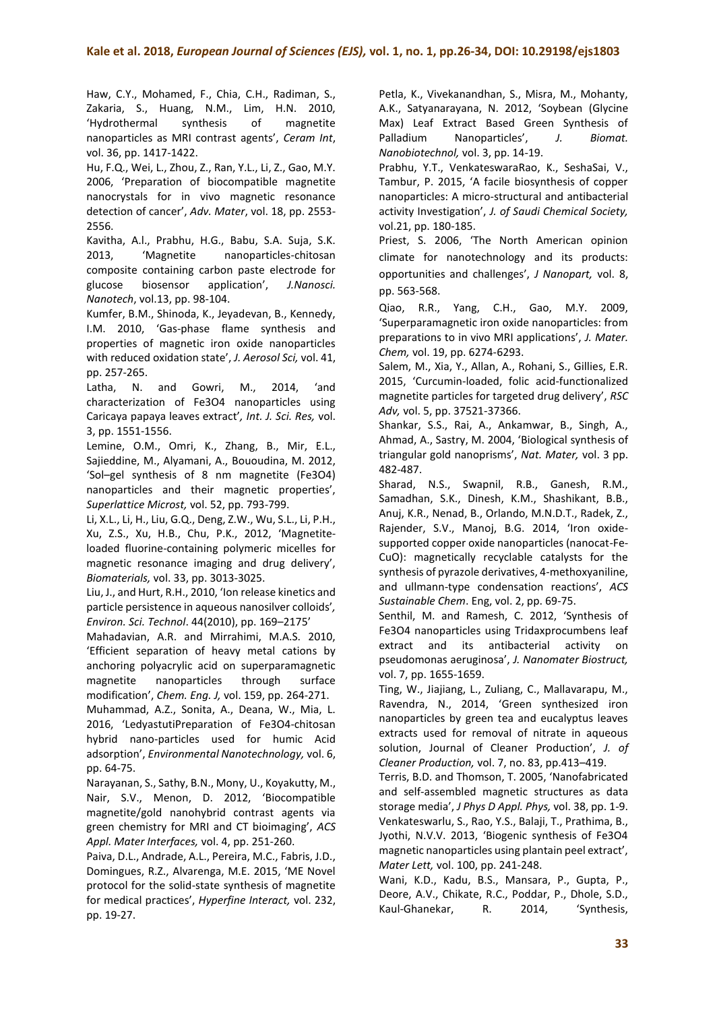Haw, C.Y., Mohamed, F., Chia, C.H., Radiman, S., Zakaria, S., Huang, N.M., Lim, H.N. 2010, 'Hydrothermal synthesis of magnetite nanoparticles as MRI contrast agents', *Ceram Int*, vol. 36, pp. 1417-1422.

Hu, F.Q., Wei, L., Zhou, Z., Ran, Y.L., Li, Z., Gao, M.Y. 2006, 'Preparation of biocompatible magnetite nanocrystals for in vivo magnetic resonance detection of cancer', *Adv. Mater*, vol. 18, pp. 2553- 2556.

Kavitha, A.l., Prabhu, H.G., Babu, S.A. Suja, S.K. 2013, 'Magnetite nanoparticles-chitosan composite containing carbon paste electrode for glucose biosensor application', *J.Nanosci. Nanotech*, vol.13, pp. 98-104.

Kumfer, B.M., Shinoda, K., Jeyadevan, B., Kennedy, I.M. 2010, 'Gas-phase flame synthesis and properties of magnetic iron oxide nanoparticles with reduced oxidation state', *J. Aerosol Sci,* vol. 41, pp. 257-265.

Latha, N. and Gowri, M., 2014, 'and characterization of Fe3O4 nanoparticles using Caricaya papaya leaves extract'*, Int. J. Sci. Res,* vol. 3, pp. 1551-1556.

Lemine, O.M., Omri, K., Zhang, B., Mir, E.L., Sajieddine, M., Alyamani, A., Bououdina, M. 2012, 'Sol–gel synthesis of 8 nm magnetite (Fe3O4) nanoparticles and their magnetic properties', *Superlattice Microst,* vol. 52, pp. 793-799.

Li, X.L., Li, H., Liu, G.Q., Deng, Z.W., Wu, S.L., Li, P.H., Xu, Z.S., Xu, H.B., Chu, P.K., 2012, 'Magnetiteloaded fluorine-containing polymeric micelles for magnetic resonance imaging and drug delivery', *Biomaterials,* vol. 33, pp. 3013-3025.

Liu, J., and Hurt, R.H., 2010, 'Ion release kinetics and particle persistence in aqueous nanosilver colloids'*, Environ. Sci. Technol*. 44(2010), pp. 169–2175'

Mahadavian, A.R. and Mirrahimi, M.A.S. 2010, 'Efficient separation of heavy metal cations by anchoring polyacrylic acid on superparamagnetic magnetite nanoparticles through surface modification', *Chem. Eng. J,* vol. 159, pp. 264-271.

Muhammad, A.Z., Sonita, A., Deana, W., Mia, L. 2016, 'LedyastutiPreparation of Fe3O4-chitosan hybrid nano-particles used for humic Acid adsorption', *Environmental Nanotechnology,* vol. 6, pp. 64-75.

Narayanan, S., Sathy, B.N., Mony, U., Koyakutty, M., Nair, S.V., Menon, D. 2012, 'Biocompatible magnetite/gold nanohybrid contrast agents via green chemistry for MRI and CT bioimaging', *ACS Appl. Mater Interfaces,* vol. 4, pp. 251-260.

Paiva, D.L., Andrade, A.L., Pereira, M.C., Fabris, J.D., Domingues, R.Z., Alvarenga, M.E. 2015, 'ME Novel protocol for the solid-state synthesis of magnetite for medical practices', *Hyperfine Interact,* vol. 232, pp. 19-27.

Petla, K., Vivekanandhan, S., Misra, M., Mohanty, A.K., Satyanarayana, N. 2012, 'Soybean (Glycine Max) Leaf Extract Based Green Synthesis of Palladium Nanoparticles', *J. Biomat. Nanobiotechnol,* vol. 3, pp. 14-19.

Prabhu, Y.T., VenkateswaraRao, K., SeshaSai, V., Tambur, P. 2015, 'A facile biosynthesis of copper nanoparticles: A micro-structural and antibacterial activity Investigation', *J. of Saudi Chemical Society,*  vol.21, pp. 180-185.

Priest, S. 2006, 'The North American opinion climate for nanotechnology and its products: opportunities and challenges', *J Nanopart,* vol. 8, pp. 563-568.

Qiao, R.R., Yang, C.H., Gao, M.Y. 2009, 'Superparamagnetic iron oxide nanoparticles: from preparations to in vivo MRI applications', *J. Mater. Chem,* vol. 19, pp. 6274-6293.

Salem, M., Xia, Y., Allan, A., Rohani, S., Gillies, E.R. 2015, 'Curcumin-loaded, folic acid-functionalized magnetite particles for targeted drug delivery', *RSC Adv,* vol. 5, pp. 37521-37366.

Shankar, S.S., Rai, A., Ankamwar, B., Singh, A., Ahmad, A., Sastry, M. 2004, 'Biological synthesis of triangular gold nanoprisms', *Nat. Mater,* vol. 3 pp. 482-487.

Sharad, N.S., Swapnil, R.B., Ganesh, R.M., Samadhan, S.K., Dinesh, K.M., Shashikant, B.B., Anuj, K.R., Nenad, B., Orlando, M.N.D.T., Radek, Z., Rajender, S.V., Manoj, B.G. 2014, 'Iron oxidesupported copper oxide nanoparticles (nanocat-Fe-CuO): magnetically recyclable catalysts for the synthesis of pyrazole derivatives, 4-methoxyaniline, and ullmann-type condensation reactions', *ACS Sustainable Chem*. Eng, vol. 2, pp. 69-75.

Senthil, M. and Ramesh, C. 2012, 'Synthesis of Fe3O4 nanoparticles using Tridaxprocumbens leaf extract and its antibacterial activity on pseudomonas aeruginosa', *J. Nanomater Biostruct,*  vol. 7, pp. 1655-1659.

Ting, W., Jiajiang, L., Zuliang, C., Mallavarapu, M., Ravendra, N., 2014, 'Green synthesized iron nanoparticles by green tea and eucalyptus leaves extracts used for removal of nitrate in aqueous solution, Journal of Cleaner Production', *J. of Cleaner Production,* vol. 7, no. 83, pp.413–419.

Terris, B.D. and Thomson, T. 2005, 'Nanofabricated and self-assembled magnetic structures as data storage media', *J Phys D Appl. Phys,* vol. 38, pp. 1-9. Venkateswarlu, S., Rao, Y.S., Balaji, T., Prathima, B., Jyothi, N.V.V. 2013, 'Biogenic synthesis of Fe3O4 magnetic nanoparticles using plantain peel extract', *Mater Lett,* vol. 100, pp. 241-248.

Wani, K.D., Kadu, B.S., Mansara, P., Gupta, P., Deore, A.V., Chikate, R.C., Poddar, P., Dhole, S.D., Kaul-Ghanekar, R. 2014, 'Synthesis,